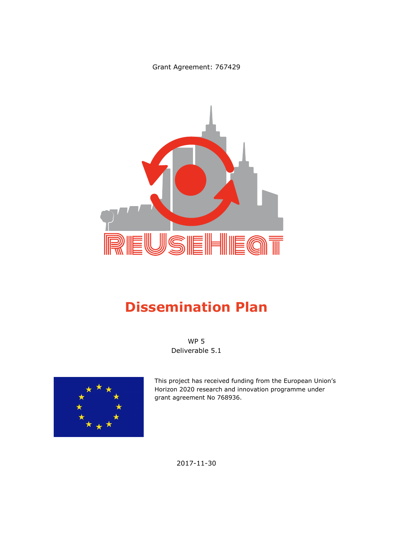Grant Agreement: 767429



# **Dissemination Plan**

WP 5 Deliverable 5.1



This project has received funding from the European Union's Horizon 2020 research and innovation programme under grant agreement No 768936.

2017-11-30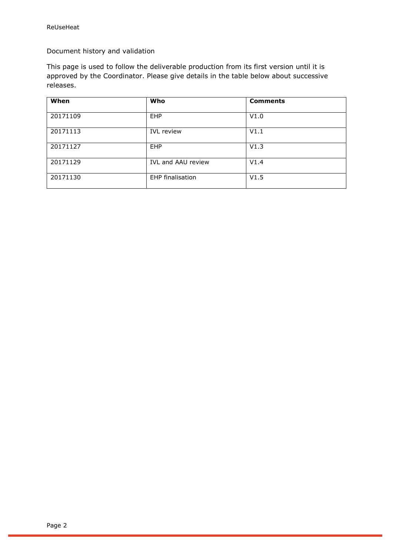Document history and validation

This page is used to follow the deliverable production from its first version until it is approved by the Coordinator. Please give details in the table below about successive releases.

| When     | Who                     | <b>Comments</b> |
|----------|-------------------------|-----------------|
| 20171109 | <b>EHP</b>              | V1.0            |
| 20171113 | <b>IVL</b> review       | V1.1            |
| 20171127 | <b>EHP</b>              | V1.3            |
| 20171129 | IVL and AAU review      | V1.4            |
| 20171130 | <b>EHP</b> finalisation | V1.5            |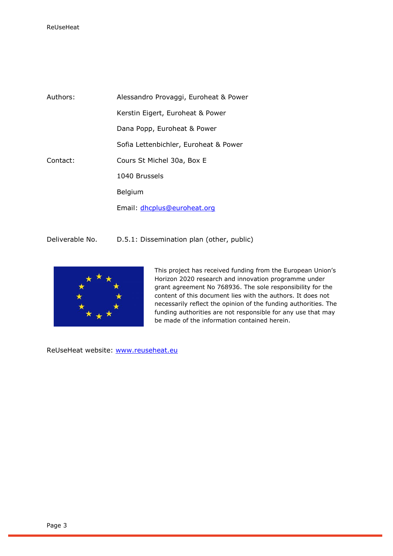| Authors: | Alessandro Provaggi, Euroheat & Power |  |
|----------|---------------------------------------|--|
|          | Kerstin Eigert, Euroheat & Power      |  |
|          | Dana Popp, Euroheat & Power           |  |
|          | Sofia Lettenbichler, Euroheat & Power |  |
| Contact: | Cours St Michel 30a, Box E            |  |
|          | 1040 Brussels                         |  |
|          | Belgium                               |  |
|          | Email: dhcplus@euroheat.org           |  |

Deliverable No. D.5.1: Dissemination plan (other, public)



This project has received funding from the European Union's Horizon 2020 research and innovation programme under grant agreement No 768936. The sole responsibility for the content of this document lies with the authors. It does not necessarily reflect the opinion of the funding authorities. The funding authorities are not responsible for any use that may be made of the information contained herein.

ReUseHeat website: [www.reuseheat.eu](http://www.reuseheat.eu/)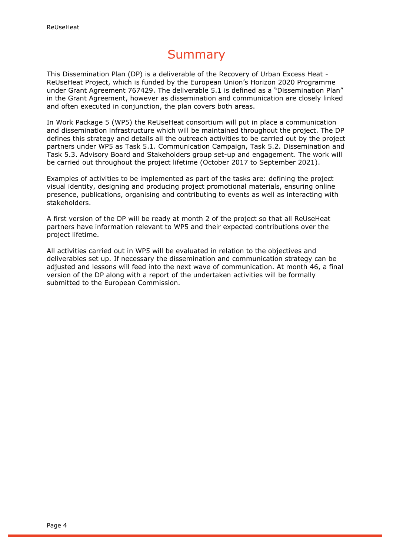# Summary

This Dissemination Plan (DP) is a deliverable of the Recovery of Urban Excess Heat - ReUseHeat Project, which is funded by the European Union's Horizon 2020 Programme under Grant Agreement 767429. The deliverable 5.1 is defined as a "Dissemination Plan" in the Grant Agreement, however as dissemination and communication are closely linked and often executed in conjunction, the plan covers both areas.

In Work Package 5 (WP5) the ReUseHeat consortium will put in place a communication and dissemination infrastructure which will be maintained throughout the project. The DP defines this strategy and details all the outreach activities to be carried out by the project partners under WP5 as Task 5.1. Communication Campaign, Task 5.2. Dissemination and Task 5.3. Advisory Board and Stakeholders group set-up and engagement. The work will be carried out throughout the project lifetime (October 2017 to September 2021).

Examples of activities to be implemented as part of the tasks are: defining the project visual identity, designing and producing project promotional materials, ensuring online presence, publications, organising and contributing to events as well as interacting with stakeholders.

A first version of the DP will be ready at month 2 of the project so that all ReUseHeat partners have information relevant to WP5 and their expected contributions over the project lifetime.

All activities carried out in WP5 will be evaluated in relation to the objectives and deliverables set up. If necessary the dissemination and communication strategy can be adjusted and lessons will feed into the next wave of communication. At month 46, a final version of the DP along with a report of the undertaken activities will be formally submitted to the European Commission.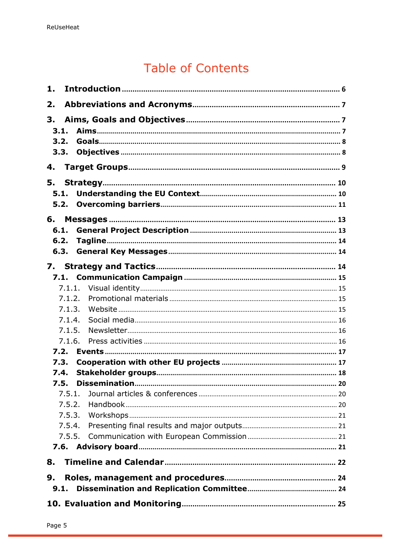# **Table of Contents**

| 1.                         |        |  |  |  |
|----------------------------|--------|--|--|--|
| 2.                         |        |  |  |  |
| 3.<br>3.1.<br>3.2.<br>3.3. |        |  |  |  |
| 4.                         |        |  |  |  |
| 5.<br>5.1.<br>5.2.         |        |  |  |  |
| 6.<br>6.1.<br>6.2.<br>6.3. |        |  |  |  |
|                            |        |  |  |  |
|                            |        |  |  |  |
|                            |        |  |  |  |
|                            | 7.1.2. |  |  |  |
|                            | 7.1.3. |  |  |  |
|                            | 7.1.4. |  |  |  |
|                            | 7.1.5. |  |  |  |
|                            | 7.1.6. |  |  |  |
| 7.2.                       |        |  |  |  |
| 7.3.                       |        |  |  |  |
| 7.4.                       |        |  |  |  |
| 7.5.                       |        |  |  |  |
|                            | 7.5.1. |  |  |  |
|                            | 7.5.2. |  |  |  |
|                            | 7.5.3. |  |  |  |
|                            | 7.5.4. |  |  |  |
|                            | 7.5.5. |  |  |  |
|                            |        |  |  |  |
|                            |        |  |  |  |
| 8.                         |        |  |  |  |
| 9.                         |        |  |  |  |
| 9.1.                       |        |  |  |  |
|                            |        |  |  |  |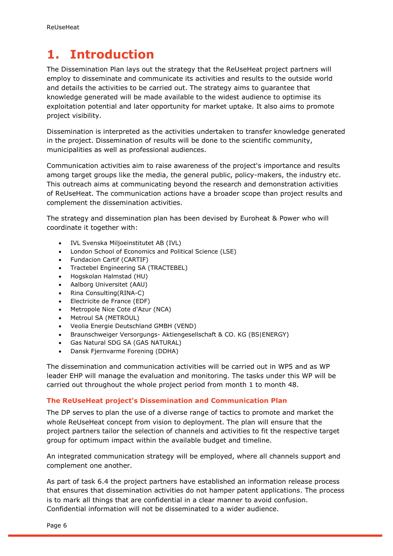# <span id="page-5-0"></span>**1. Introduction**

The Dissemination Plan lays out the strategy that the ReUseHeat project partners will employ to disseminate and communicate its activities and results to the outside world and details the activities to be carried out. The strategy aims to guarantee that knowledge generated will be made available to the widest audience to optimise its exploitation potential and later opportunity for market uptake. It also aims to promote project visibility.

Dissemination is interpreted as the activities undertaken to transfer knowledge generated in the project. Dissemination of results will be done to the scientific community, municipalities as well as professional audiences.

Communication activities aim to raise awareness of the project's importance and results among target groups like the media, the general public, policy-makers, the industry etc. This outreach aims at communicating beyond the research and demonstration activities of ReUseHeat. The communication actions have a broader scope than project results and complement the dissemination activities.

The strategy and dissemination plan has been devised by Euroheat & Power who will coordinate it together with:

- IVL Svenska Miljoeinstitutet AB (IVL)
- London School of Economics and Political Science (LSE)
- Fundacion Cartif (CARTIF)
- Tractebel Engineering SA (TRACTEBEL)
- Hogskolan Halmstad (HU)
- Aalborg Universitet (AAU)
- Rina Consulting(RINA-C)
- Electricite de France (EDF)
- Metropole Nice Cote d'Azur (NCA)
- Metroul SA (METROUL)
- Veolia Energie Deutschland GMBH (VEND)
- Braunschweiger Versorgungs- Aktiengesellschaft & CO. KG (BS|ENERGY)
- Gas Natural SDG SA (GAS NATURAL)
- Dansk Fjernvarme Forening (DDHA)

The dissemination and communication activities will be carried out in WP5 and as WP leader EHP will manage the evaluation and monitoring. The tasks under this WP will be carried out throughout the whole project period from month 1 to month 48.

#### **The ReUseHeat project's Dissemination and Communication Plan**

The DP serves to plan the use of a diverse range of tactics to promote and market the whole ReUseHeat concept from vision to deployment. The plan will ensure that the project partners tailor the selection of channels and activities to fit the respective target group for optimum impact within the available budget and timeline.

An integrated communication strategy will be employed, where all channels support and complement one another.

As part of task 6.4 the project partners have established an information release process that ensures that dissemination activities do not hamper patent applications. The process is to mark all things that are confidential in a clear manner to avoid confusion. Confidential information will not be disseminated to a wider audience.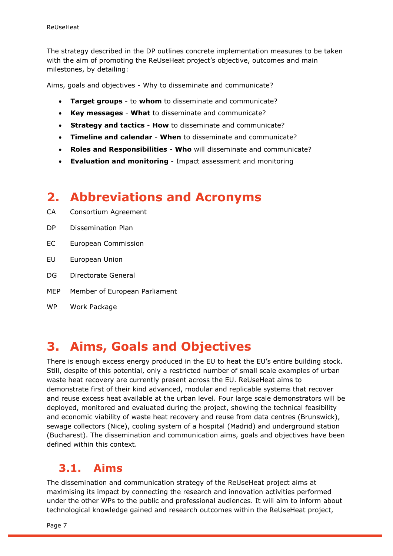The strategy described in the DP outlines concrete implementation measures to be taken with the aim of promoting the ReUseHeat project's objective, outcomes and main milestones, by detailing:

Aims, goals and objectives - Why to disseminate and communicate?

- **Target groups** to **whom** to disseminate and communicate?
- **Key messages What** to disseminate and communicate?
- **Strategy and tactics How** to disseminate and communicate?
- **Timeline and calendar When** to disseminate and communicate?
- **Roles and Responsibilities Who** will disseminate and communicate?
- **Evaluation and monitoring**  Impact assessment and monitoring

## <span id="page-6-0"></span>**2. Abbreviations and Acronyms**

- CA Consortium Agreement
- DP Dissemination Plan
- EC European Commission
- EU European Union
- DG Directorate General
- MEP Member of European Parliament
- WP Work Package

## <span id="page-6-1"></span>**3. Aims, Goals and Objectives**

There is enough excess energy produced in the EU to heat the EU's entire building stock. Still, despite of this potential, only a restricted number of small scale examples of urban waste heat recovery are currently present across the EU. ReUseHeat aims to demonstrate first of their kind advanced, modular and replicable systems that recover and reuse excess heat available at the urban level. Four large scale demonstrators will be deployed, monitored and evaluated during the project, showing the technical feasibility and economic viability of waste heat recovery and reuse from data centres (Brunswick), sewage collectors (Nice), cooling system of a hospital (Madrid) and underground station (Bucharest). The dissemination and communication aims, goals and objectives have been defined within this context.

### <span id="page-6-2"></span>**3.1. Aims**

The dissemination and communication strategy of the ReUseHeat project aims at maximising its impact by connecting the research and innovation activities performed under the other WPs to the public and professional audiences. It will aim to inform about technological knowledge gained and research outcomes within the ReUseHeat project,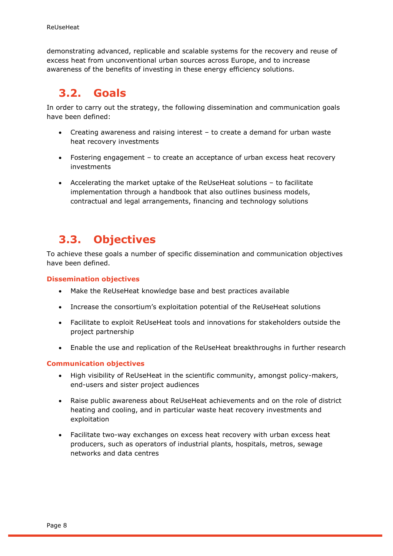demonstrating advanced, replicable and scalable systems for the recovery and reuse of excess heat from unconventional urban sources across Europe, and to increase awareness of the benefits of investing in these energy efficiency solutions.

# <span id="page-7-0"></span>**3.2. Goals**

In order to carry out the strategy, the following dissemination and communication goals have been defined:

- Creating awareness and raising interest to create a demand for urban waste heat recovery investments
- Fostering engagement to create an acceptance of urban excess heat recovery investments
- Accelerating the market uptake of the ReUseHeat solutions to facilitate implementation through a handbook that also outlines business models, contractual and legal arrangements, financing and technology solutions

## <span id="page-7-1"></span>**3.3. Objectives**

To achieve these goals a number of specific dissemination and communication objectives have been defined.

**Dissemination objectives**

- Make the ReUseHeat knowledge base and best practices available
- Increase the consortium's exploitation potential of the ReUseHeat solutions
- Facilitate to exploit ReUseHeat tools and innovations for stakeholders outside the project partnership
- Enable the use and replication of the ReUseHeat breakthroughs in further research

#### **Communication objectives**

- High visibility of ReUseHeat in the scientific community, amongst policy-makers, end-users and sister project audiences
- Raise public awareness about ReUseHeat achievements and on the role of district heating and cooling, and in particular waste heat recovery investments and exploitation
- Facilitate two-way exchanges on excess heat recovery with urban excess heat producers, such as operators of industrial plants, hospitals, metros, sewage networks and data centres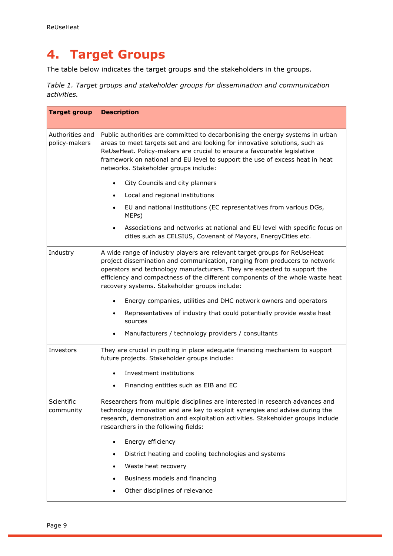# <span id="page-8-0"></span>**4. Target Groups**

The table below indicates the target groups and the stakeholders in the groups.

*Table 1. Target groups and stakeholder groups for dissemination and communication activities.* 

| <b>Target group</b>              | <b>Description</b>                                                                                                                                                                                                                                                                                                                                                     |  |  |  |
|----------------------------------|------------------------------------------------------------------------------------------------------------------------------------------------------------------------------------------------------------------------------------------------------------------------------------------------------------------------------------------------------------------------|--|--|--|
| Authorities and<br>policy-makers | Public authorities are committed to decarbonising the energy systems in urban<br>areas to meet targets set and are looking for innovative solutions, such as<br>ReUseHeat. Policy-makers are crucial to ensure a favourable legislative<br>framework on national and EU level to support the use of excess heat in heat<br>networks. Stakeholder groups include:       |  |  |  |
|                                  | City Councils and city planners                                                                                                                                                                                                                                                                                                                                        |  |  |  |
|                                  | Local and regional institutions<br>$\bullet$                                                                                                                                                                                                                                                                                                                           |  |  |  |
|                                  | EU and national institutions (EC representatives from various DGs,<br>MEPs)                                                                                                                                                                                                                                                                                            |  |  |  |
|                                  | Associations and networks at national and EU level with specific focus on<br>cities such as CELSIUS, Covenant of Mayors, EnergyCities etc.                                                                                                                                                                                                                             |  |  |  |
| Industry                         | A wide range of industry players are relevant target groups for ReUseHeat<br>project dissemination and communication, ranging from producers to network<br>operators and technology manufacturers. They are expected to support the<br>efficiency and compactness of the different components of the whole waste heat<br>recovery systems. Stakeholder groups include: |  |  |  |
|                                  | Energy companies, utilities and DHC network owners and operators                                                                                                                                                                                                                                                                                                       |  |  |  |
|                                  | Representatives of industry that could potentially provide waste heat<br>sources                                                                                                                                                                                                                                                                                       |  |  |  |
|                                  | Manufacturers / technology providers / consultants                                                                                                                                                                                                                                                                                                                     |  |  |  |
| Investors                        | They are crucial in putting in place adequate financing mechanism to support<br>future projects. Stakeholder groups include:                                                                                                                                                                                                                                           |  |  |  |
|                                  | Investment institutions                                                                                                                                                                                                                                                                                                                                                |  |  |  |
|                                  | Financing entities such as EIB and EC                                                                                                                                                                                                                                                                                                                                  |  |  |  |
| Scientific<br>community          | Researchers from multiple disciplines are interested in research advances and<br>technology innovation and are key to exploit synergies and advise during the<br>research, demonstration and exploitation activities. Stakeholder groups include<br>researchers in the following fields:                                                                               |  |  |  |
|                                  | Energy efficiency                                                                                                                                                                                                                                                                                                                                                      |  |  |  |
|                                  | District heating and cooling technologies and systems                                                                                                                                                                                                                                                                                                                  |  |  |  |
|                                  | Waste heat recovery                                                                                                                                                                                                                                                                                                                                                    |  |  |  |
|                                  | Business models and financing                                                                                                                                                                                                                                                                                                                                          |  |  |  |
|                                  | Other disciplines of relevance                                                                                                                                                                                                                                                                                                                                         |  |  |  |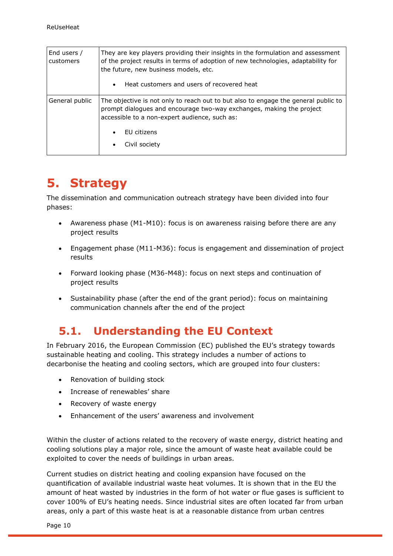| End users /<br>customers | They are key players providing their insights in the formulation and assessment<br>of the project results in terms of adoption of new technologies, adaptability for<br>the future, new business models, etc.<br>Heat customers and users of recovered heat<br>$\bullet$ |
|--------------------------|--------------------------------------------------------------------------------------------------------------------------------------------------------------------------------------------------------------------------------------------------------------------------|
| General public           | The objective is not only to reach out to but also to engage the general public to<br>prompt dialogues and encourage two-way exchanges, making the project<br>accessible to a non-expert audience, such as:<br>FU citizens<br>Civil society                              |

# <span id="page-9-0"></span>**5. Strategy**

The dissemination and communication outreach strategy have been divided into four phases:

- Awareness phase (M1-M10): focus is on awareness raising before there are any project results
- Engagement phase (M11-M36): focus is engagement and dissemination of project results
- Forward looking phase (M36-M48): focus on next steps and continuation of project results
- Sustainability phase (after the end of the grant period): focus on maintaining communication channels after the end of the project

## <span id="page-9-1"></span>**5.1. Understanding the EU Context**

In February 2016, the European Commission (EC) published the EU's strategy towards sustainable heating and cooling. This strategy includes a number of actions to decarbonise the heating and cooling sectors, which are grouped into four clusters:

- Renovation of building stock
- Increase of renewables' share
- Recovery of waste energy
- Enhancement of the users' awareness and involvement

Within the cluster of actions related to the recovery of waste energy, district heating and cooling solutions play a major role, since the amount of waste heat available could be exploited to cover the needs of buildings in urban areas.

Current studies on district heating and cooling expansion have focused on the quantification of available industrial waste heat volumes. It is shown that in the EU the amount of heat wasted by industries in the form of hot water or flue gases is sufficient to cover 100% of EU's heating needs. Since industrial sites are often located far from urban areas, only a part of this waste heat is at a reasonable distance from urban centres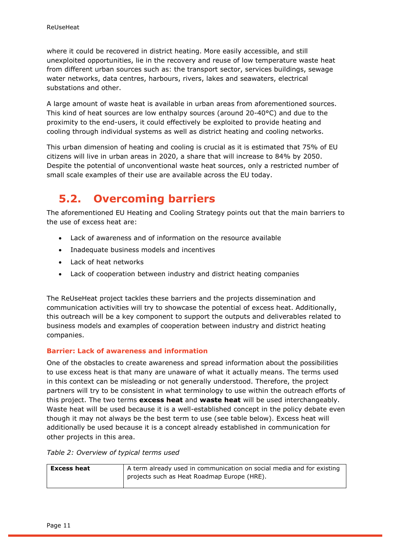where it could be recovered in district heating. More easily accessible, and still unexploited opportunities, lie in the recovery and reuse of low temperature waste heat from different urban sources such as: the transport sector, services buildings, sewage water networks, data centres, harbours, rivers, lakes and seawaters, electrical substations and other.

A large amount of waste heat is available in urban areas from aforementioned sources. This kind of heat sources are low enthalpy sources (around 20-40°C) and due to the proximity to the end-users, it could effectively be exploited to provide heating and cooling through individual systems as well as district heating and cooling networks.

This urban dimension of heating and cooling is crucial as it is estimated that 75% of EU citizens will live in urban areas in 2020, a share that will increase to 84% by 2050. Despite the potential of unconventional waste heat sources, only a restricted number of small scale examples of their use are available across the EU today.

# <span id="page-10-0"></span>**5.2. Overcoming barriers**

The aforementioned EU Heating and Cooling Strategy points out that the main barriers to the use of excess heat are:

- Lack of awareness and of information on the resource available
- Inadequate business models and incentives
- Lack of heat networks
- Lack of cooperation between industry and district heating companies

The ReUseHeat project tackles these barriers and the projects dissemination and communication activities will try to showcase the potential of excess heat. Additionally, this outreach will be a key component to support the outputs and deliverables related to business models and examples of cooperation between industry and district heating companies.

#### **Barrier: Lack of awareness and information**

One of the obstacles to create awareness and spread information about the possibilities to use excess heat is that many are unaware of what it actually means. The terms used in this context can be misleading or not generally understood. Therefore, the project partners will try to be consistent in what terminology to use within the outreach efforts of this project. The two terms **excess heat** and **waste heat** will be used interchangeably. Waste heat will be used because it is a well-established concept in the policy debate even though it may not always be the best term to use (see table below). Excess heat will additionally be used because it is a concept already established in communication for other projects in this area.

#### *Table 2: Overview of typical terms used*

| <b>Excess heat</b> | A term already used in communication on social media and for existing |
|--------------------|-----------------------------------------------------------------------|
|                    | projects such as Heat Roadmap Europe (HRE).                           |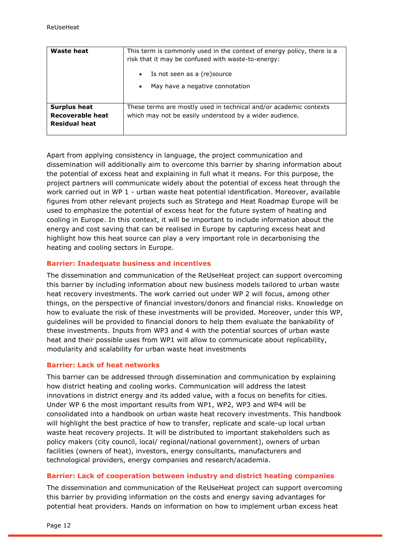| Waste heat                                                      | This term is commonly used in the context of energy policy, there is a<br>risk that it may be confused with waste-to-energy:<br>Is not seen as a (re) source<br>$\bullet$<br>May have a negative connotation<br>$\bullet$ |  |
|-----------------------------------------------------------------|---------------------------------------------------------------------------------------------------------------------------------------------------------------------------------------------------------------------------|--|
| <b>Surplus heat</b><br>Recoverable heat<br><b>Residual heat</b> | These terms are mostly used in technical and/or academic contexts<br>which may not be easily understood by a wider audience.                                                                                              |  |

Apart from applying consistency in language, the project communication and dissemination will additionally aim to overcome this barrier by sharing information about the potential of excess heat and explaining in full what it means. For this purpose, the project partners will communicate widely about the potential of excess heat through the work carried out in WP 1 - urban waste heat potential identification. Moreover, available figures from other relevant projects such as Stratego and Heat Roadmap Europe will be used to emphasize the potential of excess heat for the future system of heating and cooling in Europe. In this context, it will be important to include information about the energy and cost saving that can be realised in Europe by capturing excess heat and highlight how this heat source can play a very important role in decarbonising the heating and cooling sectors in Europe.

#### **Barrier: Inadequate business and incentives**

The dissemination and communication of the ReUseHeat project can support overcoming this barrier by including information about new business models tailored to urban waste heat recovery investments. The work carried out under WP 2 will focus, among other things, on the perspective of financial investors/donors and financial risks. Knowledge on how to evaluate the risk of these investments will be provided. Moreover, under this WP, guidelines will be provided to financial donors to help them evaluate the bankability of these investments. Inputs from WP3 and 4 with the potential sources of urban waste heat and their possible uses from WP1 will allow to communicate about replicability, modularity and scalability for urban waste heat investments

#### **Barrier: Lack of heat networks**

This barrier can be addressed through dissemination and communication by explaining how district heating and cooling works. Communication will address the latest innovations in district energy and its added value, with a focus on benefits for cities. Under WP 6 the most important results from WP1, WP2, WP3 and WP4 will be consolidated into a handbook on urban waste heat recovery investments. This handbook will highlight the best practice of how to transfer, replicate and scale-up local urban waste heat recovery projects. It will be distributed to important stakeholders such as policy makers (city council, local/ regional/national government), owners of urban facilities (owners of heat), investors, energy consultants, manufacturers and technological providers, energy companies and research/academia.

#### **Barrier: Lack of cooperation between industry and district heating companies**

The dissemination and communication of the ReUseHeat project can support overcoming this barrier by providing information on the costs and energy saving advantages for potential heat providers. Hands on information on how to implement urban excess heat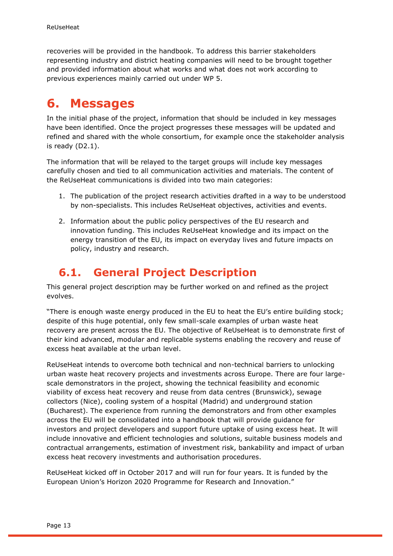recoveries will be provided in the handbook. To address this barrier stakeholders representing industry and district heating companies will need to be brought together and provided information about what works and what does not work according to previous experiences mainly carried out under WP 5.

# <span id="page-12-0"></span>**6. Messages**

In the initial phase of the project, information that should be included in key messages have been identified. Once the project progresses these messages will be updated and refined and shared with the whole consortium, for example once the stakeholder analysis is ready (D2.1).

The information that will be relayed to the target groups will include key messages carefully chosen and tied to all communication activities and materials. The content of the ReUseHeat communications is divided into two main categories:

- 1. The publication of the project research activities drafted in a way to be understood by non-specialists. This includes ReUseHeat objectives, activities and events.
- 2. Information about the public policy perspectives of the EU research and innovation funding. This includes ReUseHeat knowledge and its impact on the energy transition of the EU, its impact on everyday lives and future impacts on policy, industry and research.

## <span id="page-12-1"></span>**6.1. General Project Description**

This general project description may be further worked on and refined as the project evolves.

"There is enough waste energy produced in the EU to heat the EU's entire building stock; despite of this huge potential, only few small-scale examples of urban waste heat recovery are present across the EU. The objective of ReUseHeat is to demonstrate first of their kind advanced, modular and replicable systems enabling the recovery and reuse of excess heat available at the urban level.

ReUseHeat intends to overcome both technical and non-technical barriers to unlocking urban waste heat recovery projects and investments across Europe. There are four largescale demonstrators in the project, showing the technical feasibility and economic viability of excess heat recovery and reuse from data centres (Brunswick), sewage collectors (Nice), cooling system of a hospital (Madrid) and underground station (Bucharest). The experience from running the demonstrators and from other examples across the EU will be consolidated into a handbook that will provide guidance for investors and project developers and support future uptake of using excess heat. It will include innovative and efficient technologies and solutions, suitable business models and contractual arrangements, estimation of investment risk, bankability and impact of urban excess heat recovery investments and authorisation procedures.

ReUseHeat kicked off in October 2017 and will run for four years. It is funded by the European Union's Horizon 2020 Programme for Research and Innovation."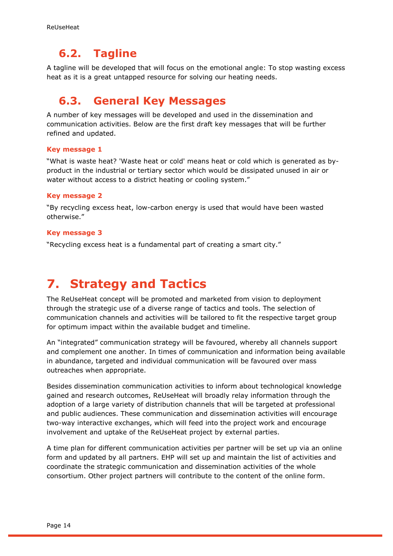## <span id="page-13-0"></span>**6.2. Tagline**

A tagline will be developed that will focus on the emotional angle: To stop wasting excess heat as it is a great untapped resource for solving our heating needs.

### <span id="page-13-1"></span>**6.3. General Key Messages**

A number of key messages will be developed and used in the dissemination and communication activities. Below are the first draft key messages that will be further refined and updated.

#### **Key message 1**

"What is waste heat? 'Waste heat or cold' means heat or cold which is generated as byproduct in the industrial or tertiary sector which would be dissipated unused in air or water without access to a district heating or cooling system."

#### **Key message 2**

"By recycling excess heat, low-carbon energy is used that would have been wasted otherwise."

#### **Key message 3**

"Recycling excess heat is a fundamental part of creating a smart city."

# <span id="page-13-2"></span>**7. Strategy and Tactics**

The ReUseHeat concept will be promoted and marketed from vision to deployment through the strategic use of a diverse range of tactics and tools. The selection of communication channels and activities will be tailored to fit the respective target group for optimum impact within the available budget and timeline.

An "integrated" communication strategy will be favoured, whereby all channels support and complement one another. In times of communication and information being available in abundance, targeted and individual communication will be favoured over mass outreaches when appropriate.

Besides dissemination communication activities to inform about technological knowledge gained and research outcomes, ReUseHeat will broadly relay information through the adoption of a large variety of distribution channels that will be targeted at professional and public audiences. These communication and dissemination activities will encourage two-way interactive exchanges, which will feed into the project work and encourage involvement and uptake of the ReUseHeat project by external parties.

A time plan for different communication activities per partner will be set up via an online form and updated by all partners. EHP will set up and maintain the list of activities and coordinate the strategic communication and dissemination activities of the whole consortium. Other project partners will contribute to the content of the online form.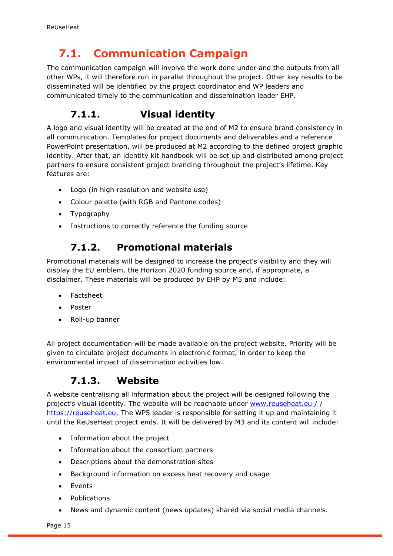# <span id="page-14-0"></span>**7.1. Communication Campaign**

The communication campaign will involve the work done under and the outputs from all other WPs, it will therefore run in parallel throughout the project. Other key results to be disseminated will be identified by the project coordinator and WP leaders and communicated timely to the communication and dissemination leader EHP.

### <span id="page-14-1"></span>**7.1.1. Visual identity**

A logo and visual identity will be created at the end of M2 to ensure brand consistency in all communication. Templates for project documents and deliverables and a reference PowerPoint presentation, will be produced at M2 according to the defined project graphic identity. After that, an identity kit handbook will be set up and distributed among project partners to ensure consistent project branding throughout the project's lifetime. Key features are:

- Logo (in high resolution and website use)
- Colour palette (with RGB and Pantone codes)
- Typography
- <span id="page-14-2"></span>• Instructions to correctly reference the funding source

### **7.1.2. Promotional materials**

Promotional materials will be designed to increase the project's visibility and they will display the EU emblem, the Horizon 2020 funding source and, if appropriate, a disclaimer. These materials will be produced by EHP by M5 and include:

- Factsheet
- Poster
- Roll-up banner

All project documentation will be made available on the project website. Priority will be given to circulate project documents in electronic format, in order to keep the environmental impact of dissemination activities low.

### **7.1.3. Website**

<span id="page-14-3"></span>A website centralising all information about the project will be designed following the project's visual identity. The website will be reachable under [www.reuseheat.eu](http://www.reuseheat.eu/) / / [https://reuseheat.eu.](https://reuseheat.eu/) The WP5 leader is responsible for setting it up and maintaining it until the ReUseHeat project ends. It will be delivered by M3 and its content will include:

- Information about the project
- Information about the consortium partners
- Descriptions about the demonstration sites
- Background information on excess heat recovery and usage
- Events
- Publications
- News and dynamic content (news updates) shared via social media channels.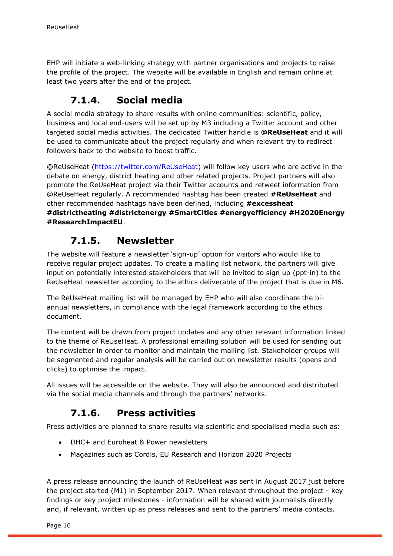EHP will initiate a web-linking strategy with partner organisations and projects to raise the profile of the project. The website will be available in English and remain online at least two years after the end of the project.

#### **7.1.4. Social media**

<span id="page-15-0"></span>A social media strategy to share results with online communities: scientific, policy, business and local end-users will be set up by M3 including a Twitter account and other targeted social media activities. The dedicated Twitter handle is **@ReUseHeat** and it will be used to communicate about the project regularly and when relevant try to redirect followers back to the website to boost traffic.

@ReUseHeat [\(https://twitter.com/ReUseHeat\)](https://twitter.com/ReUseHeat) will follow key users who are active in the debate on energy, district heating and other related projects. Project partners will also promote the ReUseHeat project via their Twitter accounts and retweet information from @ReUseHeat regularly. A recommended hashtag has been created **#ReUseHeat** and other recommended hashtags have been defined, including **#excessheat #districtheating #districtenergy #SmartCities #energyefficiency #H2020Energy #ResearchImpactEU**.

#### **7.1.5. Newsletter**

<span id="page-15-1"></span>The website will feature a newsletter 'sign-up' option for visitors who would like to receive regular project updates. To create a mailing list network, the partners will give input on potentially interested stakeholders that will be invited to sign up (ppt-in) to the ReUseHeat newsletter according to the ethics deliverable of the project that is due in M6.

The ReUseHeat mailing list will be managed by EHP who will also coordinate the biannual newsletters, in compliance with the legal framework according to the ethics document.

The content will be drawn from project updates and any other relevant information linked to the theme of ReUseHeat. A professional emailing solution will be used for sending out the newsletter in order to monitor and maintain the mailing list. Stakeholder groups will be segmented and regular analysis will be carried out on newsletter results (opens and clicks) to optimise the impact.

All issues will be accessible on the website. They will also be announced and distributed via the social media channels and through the partners' networks.

### **7.1.6. Press activities**

<span id="page-15-2"></span>Press activities are planned to share results via scientific and specialised media such as:

- DHC+ and Euroheat & Power newsletters
- Magazines such as Cordis, EU Research and Horizon 2020 Projects

A press release announcing the launch of ReUseHeat was sent in August 2017 just before the project started (M1) in September 2017. When relevant throughout the project - key findings or key project milestones - information will be shared with journalists directly and, if relevant, written up as press releases and sent to the partners' media contacts.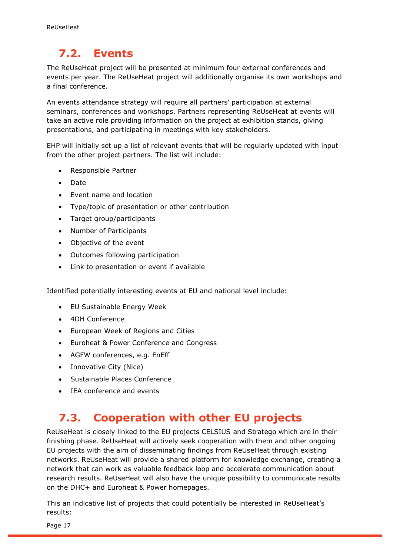# <span id="page-16-0"></span>**7.2. Events**

The ReUseHeat project will be presented at minimum four external conferences and events per year. The ReUseHeat project will additionally organise its own workshops and a final conference.

An events attendance strategy will require all partners' participation at external seminars, conferences and workshops. Partners representing ReUseHeat at events will take an active role providing information on the project at exhibition stands, giving presentations, and participating in meetings with key stakeholders.

EHP will initially set up a list of relevant events that will be regularly updated with input from the other project partners. The list will include:

- Responsible Partner
- Date
- Event name and location
- Type/topic of presentation or other contribution
- Target group/participants
- Number of Participants
- Objective of the event
- Outcomes following participation
- Link to presentation or event if available

Identified potentially interesting events at EU and national level include:

- EU Sustainable Energy Week
- 4DH Conference
- European Week of Regions and Cities
- Euroheat & Power Conference and Congress
- AGFW conferences, e.g. EnEff
- Innovative City (Nice)
- Sustainable Places Conference
- IEA conference and events

## <span id="page-16-1"></span>**7.3. Cooperation with other EU projects**

ReUseHeat is closely linked to the EU projects CELSIUS and Stratego which are in their finishing phase. ReUseHeat will actively seek cooperation with them and other ongoing EU projects with the aim of disseminating findings from ReUseHeat through existing networks. ReUseHeat will provide a shared platform for knowledge exchange, creating a network that can work as valuable feedback loop and accelerate communication about research results. ReUseHeat will also have the unique possibility to communicate results on the DHC+ and Euroheat & Power homepages.

This an indicative list of projects that could potentially be interested in ReUseHeat's results:

Page 17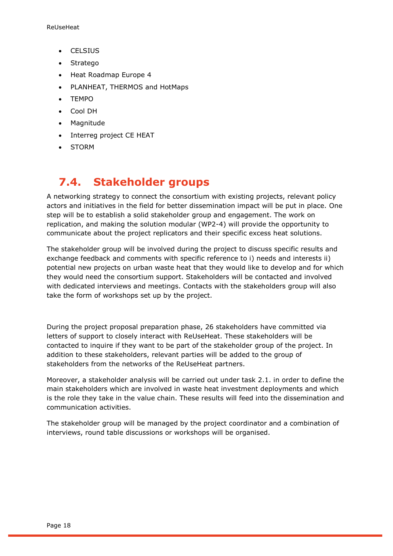- CELSIUS
- Stratego
- Heat Roadmap Europe 4
- PLANHEAT, THERMOS and HotMaps
- TEMPO
- Cool DH
- Magnitude
- Interreg project CE HEAT
- STORM

## <span id="page-17-0"></span>**7.4. Stakeholder groups**

A networking strategy to connect the consortium with existing projects, relevant policy actors and initiatives in the field for better dissemination impact will be put in place. One step will be to establish a solid stakeholder group and engagement. The work on replication, and making the solution modular (WP2-4) will provide the opportunity to communicate about the project replicators and their specific excess heat solutions.

The stakeholder group will be involved during the project to discuss specific results and exchange feedback and comments with specific reference to i) needs and interests ii) potential new projects on urban waste heat that they would like to develop and for which they would need the consortium support. Stakeholders will be contacted and involved with dedicated interviews and meetings. Contacts with the stakeholders group will also take the form of workshops set up by the project.

During the project proposal preparation phase, 26 stakeholders have committed via letters of support to closely interact with ReUseHeat. These stakeholders will be contacted to inquire if they want to be part of the stakeholder group of the project. In addition to these stakeholders, relevant parties will be added to the group of stakeholders from the networks of the ReUseHeat partners.

Moreover, a stakeholder analysis will be carried out under task 2.1. in order to define the main stakeholders which are involved in waste heat investment deployments and which is the role they take in the value chain. These results will feed into the dissemination and communication activities.

The stakeholder group will be managed by the project coordinator and a combination of interviews, round table discussions or workshops will be organised.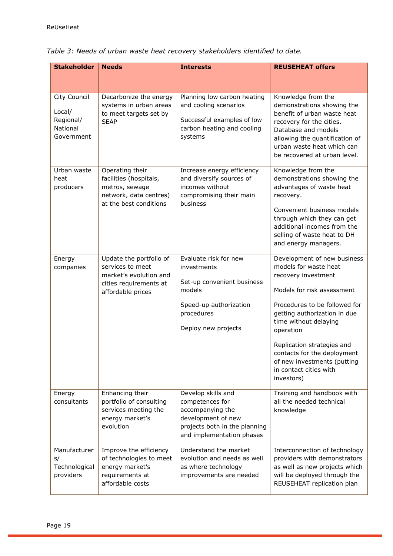| <b>Stakeholder</b>                                            |                                                                                                                      |                                                                                                                                               |                                                                                                                                                                                                                                                                                                                                                      |
|---------------------------------------------------------------|----------------------------------------------------------------------------------------------------------------------|-----------------------------------------------------------------------------------------------------------------------------------------------|------------------------------------------------------------------------------------------------------------------------------------------------------------------------------------------------------------------------------------------------------------------------------------------------------------------------------------------------------|
|                                                               | <b>Needs</b>                                                                                                         | <b>Interests</b>                                                                                                                              | <b>REUSEHEAT offers</b>                                                                                                                                                                                                                                                                                                                              |
| City Council<br>Local/<br>Regional/<br>National<br>Government | Decarbonize the energy<br>systems in urban areas<br>to meet targets set by<br><b>SEAP</b>                            | Planning low carbon heating<br>and cooling scenarios<br>Successful examples of low<br>carbon heating and cooling<br>systems                   | Knowledge from the<br>demonstrations showing the<br>benefit of urban waste heat<br>recovery for the cities.<br>Database and models<br>allowing the quantification of<br>urban waste heat which can<br>be recovered at urban level.                                                                                                                   |
| Urban waste<br>heat<br>producers                              | Operating their<br>facilities (hospitals,<br>metros, sewage<br>network, data centres)<br>at the best conditions      | Increase energy efficiency<br>and diversify sources of<br>incomes without<br>compromising their main<br>business                              | Knowledge from the<br>demonstrations showing the<br>advantages of waste heat<br>recovery.<br>Convenient business models<br>through which they can get<br>additional incomes from the<br>selling of waste heat to DH<br>and energy managers.                                                                                                          |
| Energy<br>companies                                           | Update the portfolio of<br>services to meet<br>market's evolution and<br>cities requirements at<br>affordable prices | Evaluate risk for new<br>investments<br>Set-up convenient business<br>models<br>Speed-up authorization<br>procedures<br>Deploy new projects   | Development of new business<br>models for waste heat<br>recovery investment<br>Models for risk assessment<br>Procedures to be followed for<br>getting authorization in due<br>time without delaying<br>operation<br>Replication strategies and<br>contacts for the deployment<br>of new investments (putting<br>in contact cities with<br>investors) |
| Energy<br>consultants                                         | Enhancing their<br>portfolio of consulting<br>services meeting the<br>energy market's<br>evolution                   | Develop skills and<br>competences for<br>accompanying the<br>development of new<br>projects both in the planning<br>and implementation phases | Training and handbook with<br>all the needed technical<br>knowledge                                                                                                                                                                                                                                                                                  |
| Manufacturer<br>s/<br>Technological<br>providers              | Improve the efficiency<br>of technologies to meet<br>energy market's<br>requirements at<br>affordable costs          | Understand the market<br>evolution and needs as well<br>as where technology<br>improvements are needed                                        | Interconnection of technology<br>providers with demonstrators<br>as well as new projects which<br>will be deployed through the<br>REUSEHEAT replication plan                                                                                                                                                                                         |

|  |  |  | Table 3: Needs of urban waste heat recovery stakeholders identified to date. |  |
|--|--|--|------------------------------------------------------------------------------|--|
|  |  |  |                                                                              |  |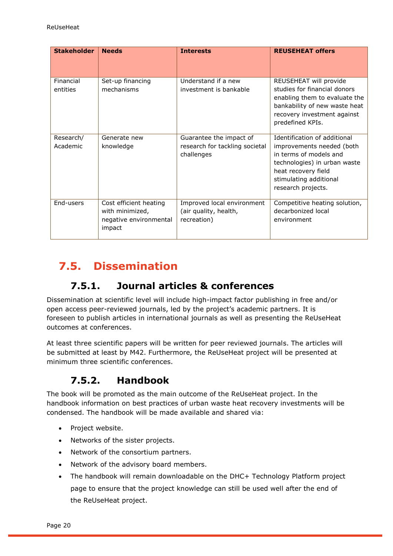| <b>Stakeholder</b>    | <b>Needs</b>                                                                  | <b>Interests</b>                                                        | <b>REUSEHEAT offers</b>                                                                                                                                                                    |
|-----------------------|-------------------------------------------------------------------------------|-------------------------------------------------------------------------|--------------------------------------------------------------------------------------------------------------------------------------------------------------------------------------------|
| Financial<br>entities | Set-up financing<br>mechanisms                                                | Understand if a new<br>investment is bankable                           | REUSEHEAT will provide<br>studies for financial donors<br>enabling them to evaluate the<br>bankability of new waste heat<br>recovery investment against<br>predefined KPIs.                |
| Research/<br>Academic | Generate new<br>knowledge                                                     | Guarantee the impact of<br>research for tackling societal<br>challenges | Identification of additional<br>improvements needed (both<br>in terms of models and<br>technologies) in urban waste<br>heat recovery field<br>stimulating additional<br>research projects. |
| End-users             | Cost efficient heating<br>with minimized,<br>negative environmental<br>impact | Improved local environment<br>(air quality, health,<br>recreation)      | Competitive heating solution,<br>decarbonized local<br>environment                                                                                                                         |

# <span id="page-19-0"></span>**7.5. Dissemination**

### **7.5.1. Journal articles & conferences**

<span id="page-19-1"></span>Dissemination at scientific level will include high-impact factor publishing in free and/or open access peer-reviewed journals, led by the project's academic partners. It is foreseen to publish articles in international journals as well as presenting the ReUseHeat outcomes at conferences.

At least three scientific papers will be written for peer reviewed journals. The articles will be submitted at least by M42. Furthermore, the ReUseHeat project will be presented at minimum three scientific conferences.

### **7.5.2. Handbook**

<span id="page-19-2"></span>The book will be promoted as the main outcome of the ReUseHeat project. In the handbook information on best practices of urban waste heat recovery investments will be condensed. The handbook will be made available and shared via:

- Project website.
- Networks of the sister projects.
- Network of the consortium partners.
- Network of the advisory board members.
- The handbook will remain downloadable on the DHC+ Technology Platform project page to ensure that the project knowledge can still be used well after the end of the ReUseHeat project.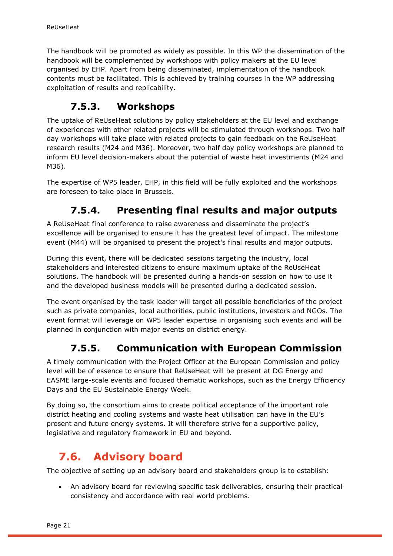The handbook will be promoted as widely as possible. In this WP the dissemination of the handbook will be complemented by workshops with policy makers at the EU level organised by EHP. Apart from being disseminated, implementation of the handbook contents must be facilitated. This is achieved by training courses in the WP addressing exploitation of results and replicability.

### **7.5.3. Workshops**

<span id="page-20-0"></span>The uptake of ReUseHeat solutions by policy stakeholders at the EU level and exchange of experiences with other related projects will be stimulated through workshops. Two half day workshops will take place with related projects to gain feedback on the ReUseHeat research results (M24 and M36). Moreover, two half day policy workshops are planned to inform EU level decision-makers about the potential of waste heat investments (M24 and M36).

The expertise of WP5 leader, EHP, in this field will be fully exploited and the workshops are foreseen to take place in Brussels.

### **7.5.4. Presenting final results and major outputs**

<span id="page-20-1"></span>A ReUseHeat final conference to raise awareness and disseminate the project's excellence will be organised to ensure it has the greatest level of impact. The milestone event (M44) will be organised to present the project's final results and major outputs.

During this event, there will be dedicated sessions targeting the industry, local stakeholders and interested citizens to ensure maximum uptake of the ReUseHeat solutions. The handbook will be presented during a hands-on session on how to use it and the developed business models will be presented during a dedicated session.

The event organised by the task leader will target all possible beneficiaries of the project such as private companies, local authorities, public institutions, investors and NGOs. The event format will leverage on WP5 leader expertise in organising such events and will be planned in conjunction with major events on district energy.

### **7.5.5. Communication with European Commission**

<span id="page-20-2"></span>A timely communication with the Project Officer at the European Commission and policy level will be of essence to ensure that ReUseHeat will be present at DG Energy and EASME large-scale events and focused thematic workshops, such as the Energy Efficiency Days and the EU Sustainable Energy Week.

By doing so, the consortium aims to create political acceptance of the important role district heating and cooling systems and waste heat utilisation can have in the EU's present and future energy systems. It will therefore strive for a supportive policy, legislative and regulatory framework in EU and beyond.

## <span id="page-20-3"></span>**7.6. Advisory board**

The objective of setting up an advisory board and stakeholders group is to establish:

• An advisory board for reviewing specific task deliverables, ensuring their practical consistency and accordance with real world problems.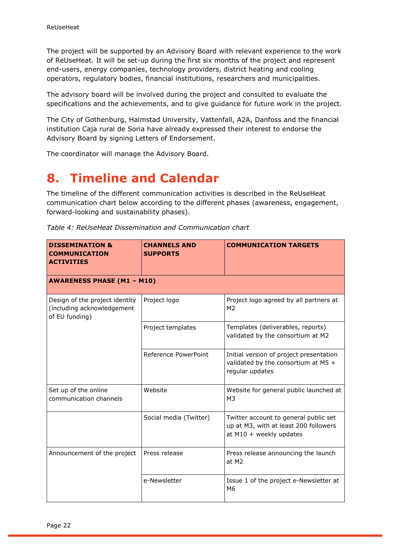The project will be supported by an Advisory Board with relevant experience to the work of ReUseHeat. It will be set-up during the first six months of the project and represent end-users, energy companies, technology providers, district heating and cooling operators, regulatory bodies, financial institutions, researchers and municipalities.

The advisory board will be involved during the project and consulted to evaluate the specifications and the achievements, and to give guidance for future work in the project.

The City of Gothenburg, Halmstad University, Vattenfall, A2A, Danfoss and the financial institution Caja rural de Soria have already expressed their interest to endorse the Advisory Board by signing Letters of Endorsement.

The coordinator will manage the Advisory Board.

# <span id="page-21-0"></span>**8. Timeline and Calendar**

The timeline of the different communication activities is described in the ReUseHeat communication chart below according to the different phases (awareness, engagement, forward-looking and sustainability phases).

| <b>DISSEMINATION &amp;</b><br><b>COMMUNICATION</b><br><b>ACTIVITIES</b>        | <b>CHANNELS AND</b><br><b>SUPPORTS</b> | <b>COMMUNICATION TARGETS</b>                                                                                |
|--------------------------------------------------------------------------------|----------------------------------------|-------------------------------------------------------------------------------------------------------------|
| <b>AWARENESS PHASE (M1 - M10)</b>                                              |                                        |                                                                                                             |
| Design of the project identity<br>(including acknowledgement<br>of EU funding) | Project logo                           | Project logo agreed by all partners at<br>M <sub>2</sub>                                                    |
|                                                                                | Project templates                      | Templates (deliverables, reports)<br>validated by the consortium at M2                                      |
|                                                                                | Reference PowerPoint                   | Initial version of project presentation<br>validated by the consortium at M5 $+$<br>regular updates         |
| Set up of the online<br>communication channels                                 | Website                                | Website for general public launched at<br>M <sub>3</sub>                                                    |
|                                                                                | Social media (Twitter)                 | Twitter account to general public set<br>up at M3, with at least 200 followers<br>at $M10 +$ weekly updates |
| Announcement of the project                                                    | Press release                          | Press release announcing the launch<br>at M2                                                                |
|                                                                                | e-Newsletter                           | Issue 1 of the project e-Newsletter at<br>M <sub>6</sub>                                                    |

*Table 4: ReUseHeat Dissemination and Communication chart*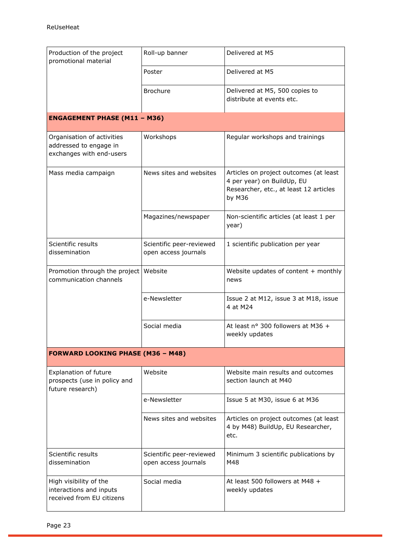| Production of the project<br>promotional material                                | Roll-up banner                                   | Delivered at M5                                                                                                          |
|----------------------------------------------------------------------------------|--------------------------------------------------|--------------------------------------------------------------------------------------------------------------------------|
|                                                                                  | Poster                                           | Delivered at M5                                                                                                          |
|                                                                                  | <b>Brochure</b>                                  | Delivered at M5, 500 copies to<br>distribute at events etc.                                                              |
| <b>ENGAGEMENT PHASE (M11 - M36)</b>                                              |                                                  |                                                                                                                          |
| Organisation of activities<br>addressed to engage in<br>exchanges with end-users | Workshops                                        | Regular workshops and trainings                                                                                          |
| Mass media campaign                                                              | News sites and websites                          | Articles on project outcomes (at least<br>4 per year) on BuildUp, EU<br>Researcher, etc., at least 12 articles<br>by M36 |
|                                                                                  | Magazines/newspaper                              | Non-scientific articles (at least 1 per<br>year)                                                                         |
| Scientific results<br>dissemination                                              | Scientific peer-reviewed<br>open access journals | 1 scientific publication per year                                                                                        |
| Promotion through the project Website<br>communication channels                  |                                                  | Website updates of content $+$ monthly<br>news                                                                           |
|                                                                                  | e-Newsletter                                     | Issue 2 at M12, issue 3 at M18, issue<br>4 at M24                                                                        |
|                                                                                  | Social media                                     | At least nº 300 followers at M36 +<br>weekly updates                                                                     |
| <b>FORWARD LOOKING PHASE (M36 - M48)</b>                                         |                                                  |                                                                                                                          |
| <b>Explanation of future</b><br>prospects (use in policy and<br>future research) | Website                                          | Website main results and outcomes<br>section launch at M40                                                               |
|                                                                                  | e-Newsletter                                     | Issue 5 at M30, issue 6 at M36                                                                                           |
|                                                                                  | News sites and websites                          | Articles on project outcomes (at least<br>4 by M48) BuildUp, EU Researcher,<br>etc.                                      |
| Scientific results<br>dissemination                                              | Scientific peer-reviewed<br>open access journals | Minimum 3 scientific publications by<br>M48                                                                              |
| High visibility of the<br>interactions and inputs<br>received from EU citizens   | Social media                                     | At least 500 followers at M48 +<br>weekly updates                                                                        |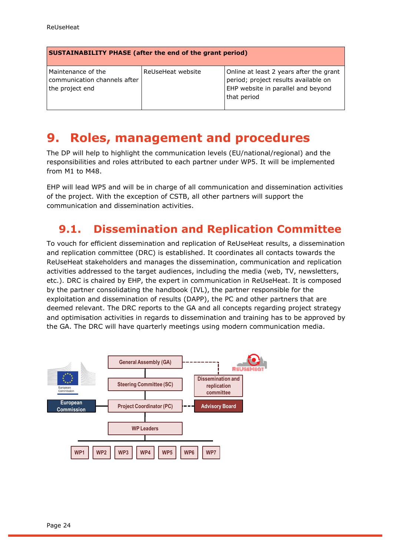| SUSTAINABILITY PHASE (after the end of the grant period) |  |
|----------------------------------------------------------|--|
|----------------------------------------------------------|--|

| l Maintenance of the<br>communication channels after<br>the project end | ReUseHeat website | Online at least 2 years after the grant<br>period; project results available on<br>EHP website in parallel and beyond<br>that period |
|-------------------------------------------------------------------------|-------------------|--------------------------------------------------------------------------------------------------------------------------------------|
|                                                                         |                   |                                                                                                                                      |

## <span id="page-23-0"></span>**9. Roles, management and procedures**

The DP will help to highlight the communication levels (EU/national/regional) and the responsibilities and roles attributed to each partner under WP5. It will be implemented from M1 to M48.

EHP will lead WP5 and will be in charge of all communication and dissemination activities of the project. With the exception of CSTB, all other partners will support the communication and dissemination activities.

## <span id="page-23-1"></span>**9.1. Dissemination and Replication Committee**

To vouch for efficient dissemination and replication of ReUseHeat results, a dissemination and replication committee (DRC) is established. It coordinates all contacts towards the ReUseHeat stakeholders and manages the dissemination, communication and replication activities addressed to the target audiences, including the media (web, TV, newsletters, etc.). DRC is chaired by EHP, the expert in communication in ReUseHeat. It is composed by the partner consolidating the handbook (IVL), the partner responsible for the exploitation and dissemination of results (DAPP), the PC and other partners that are deemed relevant. The DRC reports to the GA and all concepts regarding project strategy and optimisation activities in regards to dissemination and training has to be approved by the GA. The DRC will have quarterly meetings using modern communication media.

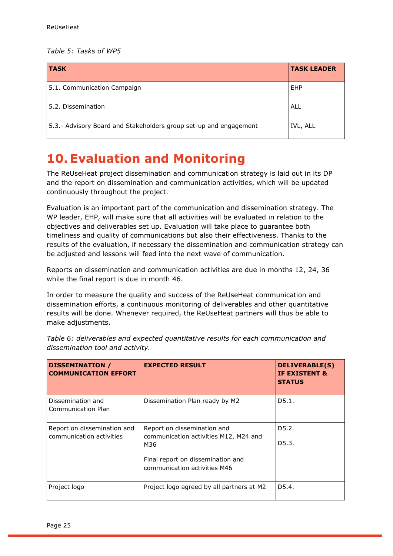#### *Table 5: Tasks of WP5*

| <b>TASK</b>                                                       | <b>TASK LEADER</b> |
|-------------------------------------------------------------------|--------------------|
| 5.1. Communication Campaign                                       | EHP                |
| 5.2. Dissemination                                                | ALL                |
| 5.3.- Advisory Board and Stakeholders group set-up and engagement | IVL, ALL           |

# <span id="page-24-0"></span>**10. Evaluation and Monitoring**

The ReUseHeat project dissemination and communication strategy is laid out in its DP and the report on dissemination and communication activities, which will be updated continuously throughout the project.

Evaluation is an important part of the communication and dissemination strategy. The WP leader, EHP, will make sure that all activities will be evaluated in relation to the objectives and deliverables set up. Evaluation will take place to guarantee both timeliness and quality of communications but also their effectiveness. Thanks to the results of the evaluation, if necessary the dissemination and communication strategy can be adjusted and lessons will feed into the next wave of communication.

Reports on dissemination and communication activities are due in months 12, 24, 36 while the final report is due in month 46.

In order to measure the quality and success of the ReUseHeat communication and dissemination efforts, a continuous monitoring of deliverables and other quantitative results will be done. Whenever required, the ReUseHeat partners will thus be able to make adjustments.

| <b>DISSEMINATION /</b><br><b>COMMUNICATION EFFORT</b>   | <b>EXPECTED RESULT</b>                                                                                                                           | <b>DELIVERABLE(S)</b><br>IF EXISTENT &<br><b>STATUS</b> |
|---------------------------------------------------------|--------------------------------------------------------------------------------------------------------------------------------------------------|---------------------------------------------------------|
| Dissemination and<br>Communication Plan                 | Dissemination Plan ready by M2                                                                                                                   | D5.1.                                                   |
| Report on dissemination and<br>communication activities | Report on dissemination and<br>communication activities M12, M24 and<br>M36<br>Final report on dissemination and<br>communication activities M46 | D5.2.<br>D5.3.                                          |
| Project logo                                            | Project logo agreed by all partners at M2                                                                                                        | D5.4.                                                   |

*Table 6: deliverables and expected quantitative results for each communication and dissemination tool and activity.*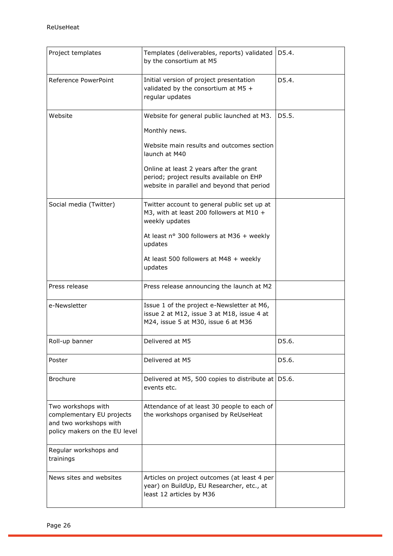| Project templates                                                                                          | Templates (deliverables, reports) validated<br>by the consortium at M5                                                            | D5.4. |
|------------------------------------------------------------------------------------------------------------|-----------------------------------------------------------------------------------------------------------------------------------|-------|
| Reference PowerPoint                                                                                       | Initial version of project presentation<br>validated by the consortium at $M5 +$<br>regular updates                               | D5.4. |
| Website                                                                                                    | Website for general public launched at M3.                                                                                        | D5.5. |
|                                                                                                            | Monthly news.                                                                                                                     |       |
|                                                                                                            | Website main results and outcomes section<br>launch at M40                                                                        |       |
|                                                                                                            | Online at least 2 years after the grant<br>period; project results available on EHP<br>website in parallel and beyond that period |       |
| Social media (Twitter)                                                                                     | Twitter account to general public set up at<br>M3, with at least 200 followers at M10 +<br>weekly updates                         |       |
|                                                                                                            | At least nº 300 followers at M36 + weekly<br>updates                                                                              |       |
|                                                                                                            | At least 500 followers at M48 + weekly<br>updates                                                                                 |       |
| Press release                                                                                              | Press release announcing the launch at M2                                                                                         |       |
| e-Newsletter                                                                                               | Issue 1 of the project e-Newsletter at M6,<br>issue 2 at M12, issue 3 at M18, issue 4 at<br>M24, issue 5 at M30, issue 6 at M36   |       |
| Roll-up banner                                                                                             | Delivered at M5                                                                                                                   | D5.6. |
| Poster                                                                                                     | Delivered at M5                                                                                                                   | D5.6. |
| <b>Brochure</b>                                                                                            | Delivered at M5, 500 copies to distribute at $\vert$ D5.6.<br>events etc.                                                         |       |
| Two workshops with<br>complementary EU projects<br>and two workshops with<br>policy makers on the EU level | Attendance of at least 30 people to each of<br>the workshops organised by ReUseHeat                                               |       |
| Regular workshops and<br>trainings                                                                         |                                                                                                                                   |       |
| News sites and websites                                                                                    | Articles on project outcomes (at least 4 per<br>year) on BuildUp, EU Researcher, etc., at<br>least 12 articles by M36             |       |